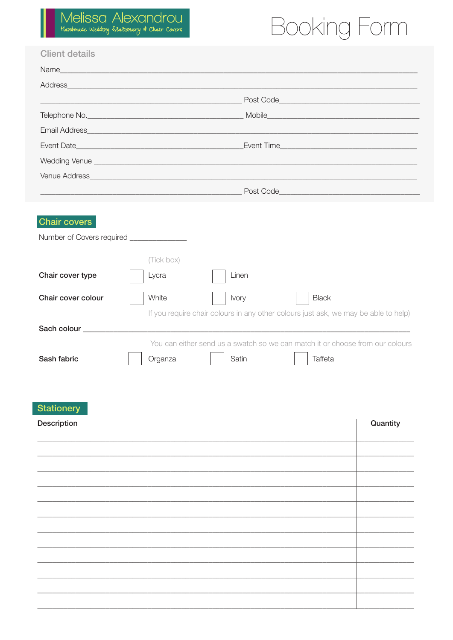## Booking Form

|                                                                | Email Address <b>Email Address Email Address</b>                                    |  |
|----------------------------------------------------------------|-------------------------------------------------------------------------------------|--|
|                                                                |                                                                                     |  |
|                                                                |                                                                                     |  |
|                                                                |                                                                                     |  |
|                                                                |                                                                                     |  |
|                                                                |                                                                                     |  |
| Chair cover type                                               | (Tick box)<br>Linen<br>Lycra                                                        |  |
|                                                                | White<br>Ivory<br><b>Black</b>                                                      |  |
|                                                                | If you require chair colours in any other colours just ask, we may be able to help) |  |
|                                                                |                                                                                     |  |
| Chair cover colour<br>Sach colour states and states and states | You can either send us a swatch so we can match it or choose from our colours       |  |

| Description | Quantity |
|-------------|----------|
|             |          |
|             |          |
|             |          |
|             |          |
|             |          |
|             |          |
|             |          |
|             |          |
|             |          |
|             |          |
|             |          |